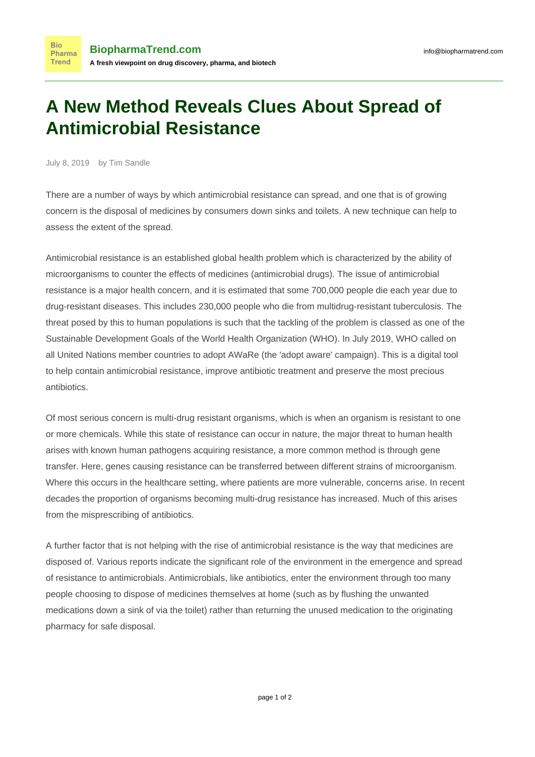## **A New Method Reveals Clues About Spread of Antimicrobial Resistance**

July 8, 2019 by Tim Sandle

**Bio** 

**Trend** 

There are a number of ways by which antimicrobial resistance can spread, and one that is of growing concern is the disposal of medicines by consumers down sinks and toilets. A new technique can help to assess the extent of the spread.

Antimicrobial resistance is an established global health problem which is characterized by the ability of microorganisms to counter the effects of medicines (antimicrobial drugs). The issue of antimicrobial resistance is a major health concern, and it is estimated [that some 700,000 people die each year](https://nadp.nl/news/new-report-calls-for-urgent-action-to-avert-antimicrobial-resistance-crisis/) due to drug-resistant diseases. This includes 230,000 people who die from multidrug-resistant tuberculosis. The threat posed by this to human populations is such that the tackling of the problem is classed as one of the Sustainable Development Goals of the World Health Organization (WHO). In July 2019, WHO called on all United Nations member countries [to adopt AWaRe](https://www.who.int/antimicrobial-resistance/global-action-plan/en/) (the 'adopt aware' campaign). This is a digital tool to help contain antimicrobial resistance, improve antibiotic treatment and preserve the most precious antibiotics.

Of most serious concern [is multi-drug resistant organisms](http://www.pharmamicroresources.com/2017/10/understanding-antibiotic-resistance.html), which is when an organism is resistant to one or more chemicals. While this state of resistance can occur in nature, the major threat to human health arises with known human pathogens acquiring resistance, a more common method is through gene transfer. Here, genes causing resistance can be transferred between different strains of microorganism. Where this occurs in the healthcare setting, where patients are more vulnerable, concerns arise. In recent decades the proportion of organisms becoming multi-drug resistance has increased. Much of this arises from [the misprescribing of antibiotics](http://pharmaceutical-microbiology.imedpub.com/searching-for-antimicrobials-in-the-unlikeliest-of-places.php?aid=7857).

A further factor that is not helping with the rise of antimicrobial resistance is the way that medicines are disposed of. [Various reports indicate](https://news.un.org/en/story/2017/12/638352-careless-disposal-antibiotics-could-produce-ferocious-superbugs-un-environment) the significant role of the environment in the emergence and spread of resistance to antimicrobials. Antimicrobials, like antibiotics, enter the environment through too many people choosing to dispose of medicines themselves at home (such as by flushing the unwanted medications down a sink of via the toilet) rather than returning the unused medication to the originating pharmacy for safe disposal.